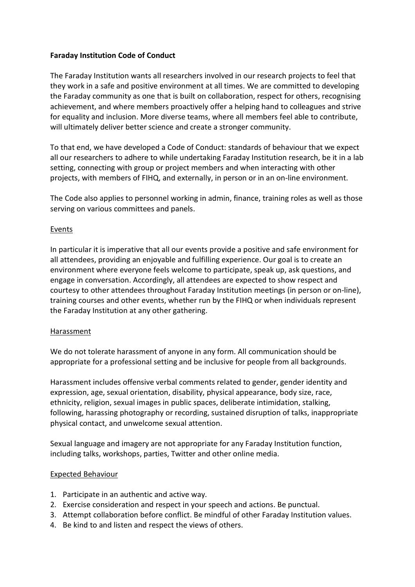# **Faraday Institution Code of Conduct**

The Faraday Institution wants all researchers involved in our research projects to feel that they work in a safe and positive environment at all times. We are committed to developing the Faraday community as one that is built on collaboration, respect for others, recognising achievement, and where members proactively offer a helping hand to colleagues and strive for equality and inclusion. More diverse teams, where all members feel able to contribute, will ultimately deliver better science and create a stronger community.

To that end, we have developed a Code of Conduct: standards of behaviour that we expect all our researchers to adhere to while undertaking Faraday Institution research, be it in a lab setting, connecting with group or project members and when interacting with other projects, with members of FIHQ, and externally, in person or in an on-line environment.

The Code also applies to personnel working in admin, finance, training roles as well as those serving on various committees and panels.

### Events

In particular it is imperative that all our events provide a positive and safe environment for all attendees, providing an enjoyable and fulfilling experience. Our goal is to create an environment where everyone feels welcome to participate, speak up, ask questions, and engage in conversation. Accordingly, all attendees are expected to show respect and courtesy to other attendees throughout Faraday Institution meetings (in person or on-line), training courses and other events, whether run by the FIHQ or when individuals represent the Faraday Institution at any other gathering.

### Harassment

We do not tolerate harassment of anyone in any form. All communication should be appropriate for a professional setting and be inclusive for people from all backgrounds.

Harassment includes offensive verbal comments related to gender, gender identity and expression, age, sexual orientation, disability, physical appearance, body size, race, ethnicity, religion, sexual images in public spaces, deliberate intimidation, stalking, following, harassing photography or recording, sustained disruption of talks, inappropriate physical contact, and unwelcome sexual attention.

Sexual language and imagery are not appropriate for any Faraday Institution function, including talks, workshops, parties, Twitter and other online media.

### Expected Behaviour

- 1. Participate in an authentic and active way.
- 2. Exercise consideration and respect in your speech and actions. Be punctual.
- 3. Attempt collaboration before conflict. Be mindful of other Faraday Institution values.
- 4. Be kind to and listen and respect the views of others.